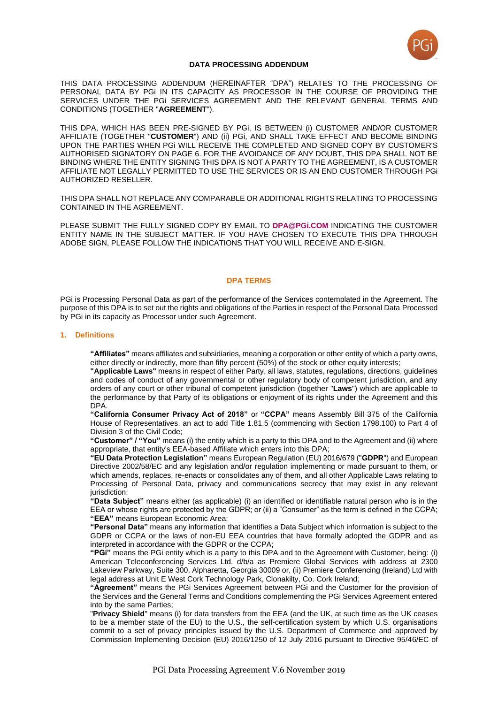

### **DATA PROCESSING ADDENDUM**

THIS DATA PROCESSING ADDENDUM (HEREINAFTER "DPA") RELATES TO THE PROCESSING OF PERSONAL DATA BY PGi IN ITS CAPACITY AS PROCESSOR IN THE COURSE OF PROVIDING THE SERVICES UNDER THE PGi SERVICES AGREEMENT AND THE RELEVANT GENERAL TERMS AND CONDITIONS (TOGETHER "**AGREEMENT**").

THIS DPA, WHICH HAS BEEN PRE-SIGNED BY PGi, IS BETWEEN (i) CUSTOMER AND/OR CUSTOMER AFFILIATE (TOGETHER "**CUSTOMER**") AND (ii) PGi, AND SHALL TAKE EFFECT AND BECOME BINDING UPON THE PARTIES WHEN PGi WILL RECEIVE THE COMPLETED AND SIGNED COPY BY CUSTOMER'S AUTHORISED SIGNATORY ON PAGE 6. FOR THE AVOIDANCE OF ANY DOUBT, THIS DPA SHALL NOT BE BINDING WHERE THE ENTITY SIGNING THIS DPA IS NOT A PARTY TO THE AGREEMENT, IS A CUSTOMER AFFILIATE NOT LEGALLY PERMITTED TO USE THE SERVICES OR IS AN END CUSTOMER THROUGH PGi AUTHORIZED RESELLER.

THIS DPA SHALL NOT REPLACE ANY COMPARABLE OR ADDITIONAL RIGHTS RELATING TO PROCESSING CONTAINED IN THE AGREEMENT.

PLEASE SUBMIT THE FULLY SIGNED COPY BY EMAIL TO **[DPA@PGi.COM](mailto:dpa@pgi.com)** INDICATING THE CUSTOMER ENTITY NAME IN THE SUBJECT MATTER. IF YOU HAVE CHOSEN TO EXECUTE THIS DPA THROUGH ADOBE SIGN, PLEASE FOLLOW THE INDICATIONS THAT YOU WILL RECEIVE AND E-SIGN.

#### **DPA TERMS**

PGi is Processing Personal Data as part of the performance of the Services contemplated in the Agreement. The purpose of this DPA is to set out the rights and obligations of the Parties in respect of the Personal Data Processed by PGi in its capacity as Processor under such Agreement.

#### **1. Definitions**

**"Affiliates"** means affiliates and subsidiaries, meaning a corporation or other entity of which a party owns, either directly or indirectly, more than fifty percent (50%) of the stock or other equity interests;

**"Applicable Laws"** means in respect of either Party, all laws, statutes, regulations, directions, guidelines and codes of conduct of any governmental or other regulatory body of competent jurisdiction, and any orders of any court or other tribunal of competent jurisdiction (together "**Laws**") which are applicable to the performance by that Party of its obligations or enjoyment of its rights under the Agreement and this DPA.

**"California Consumer Privacy Act of 2018"** or **"CCPA"** means Assembly Bill 375 of the California House of Representatives, an act to add Title 1.81.5 (commencing with Section 1798.100) to Part 4 of Division 3 of the Civil Code;

**"Customer" / "You"** means (i) the entity which is a party to this DPA and to the Agreement and (ii) where appropriate, that entity's EEA-based Affiliate which enters into this DPA;

**"EU Data Protection Legislation"** means European Regulation (EU) 2016/679 ("**GDPR**") and European Directive 2002/58/EC and any legislation and/or regulation implementing or made pursuant to them, or which amends, replaces, re-enacts or consolidates any of them, and all other Applicable Laws relating to Processing of Personal Data, privacy and communications secrecy that may exist in any relevant jurisdiction;

**"Data Subject"** means either (as applicable) (i) an identified or identifiable natural person who is in the EEA or whose rights are protected by the GDPR; or (ii) a "Consumer" as the term is defined in the CCPA; **"EEA"** means European Economic Area;

**"Personal Data"** means any information that identifies a Data Subject which information is subject to the GDPR or CCPA or the laws of non-EU EEA countries that have formally adopted the GDPR and as interpreted in accordance with the GDPR or the CCPA;

**"PGi"** means the PGi entity which is a party to this DPA and to the Agreement with Customer, being: (i) American Teleconferencing Services Ltd. d/b/a as Premiere Global Services with address at 2300 Lakeview Parkway, Suite 300, Alpharetta, Georgia 30009 or, (ii) Premiere Conferencing (Ireland) Ltd with legal address at Unit E West Cork Technology Park, Clonakilty, Co. Cork Ireland;

**"Agreement"** means the PGi Services Agreement between PGi and the Customer for the provision of the Services and the General Terms and Conditions complementing the PGi Services Agreement entered into by the same Parties;

"**Privacy Shield**" means (i) for data transfers from the EEA (and the UK, at such time as the UK ceases to be a member state of the EU) to the U.S., the self-certification system by which U.S. organisations commit to a set of privacy principles issued by the U.S. Department of Commerce and approved by Commission Implementing Decision (EU) 2016/1250 of 12 July 2016 pursuant to Directive 95/46/EC of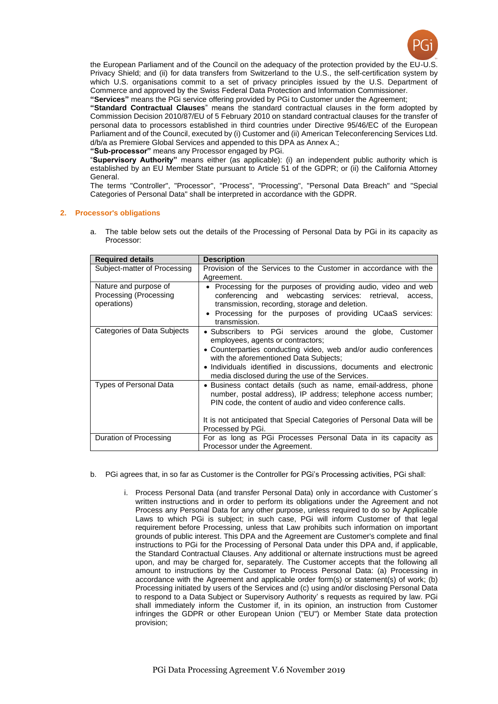

the European Parliament and of the Council on the adequacy of the protection provided by the EU-U.S. Privacy Shield; and (ii) for data transfers from Switzerland to the U.S., the self-certification system by which U.S. organisations commit to a set of privacy principles issued by the U.S. Department of Commerce and approved by the Swiss Federal Data Protection and Information Commissioner.

**"Services"** means the PGi service offering provided by PGi to Customer under the Agreement;

**"Standard Contractual Clauses**" means the standard contractual clauses in the form adopted by Commission Decision 2010/87/EU of 5 February 2010 on standard contractual clauses for the transfer of personal data to processors established in third countries under Directive 95/46/EC of the European Parliament and of the Council, executed by (i) Customer and (ii) American Teleconferencing Services Ltd. d/b/a as Premiere Global Services and appended to this DPA as Annex A.;

**"Sub-processor"** means any Processor engaged by PGi.

"**Supervisory Authority"** means either (as applicable): (i) an independent public authority which is established by an EU Member State pursuant to Article 51 of the GDPR; or (ii) the California Attorney General.

The terms "Controller", "Processor", "Process", "Processing", "Personal Data Breach" and "Special Categories of Personal Data" shall be interpreted in accordance with the GDPR.

## **2. Processor's obligations**

a. The table below sets out the details of the Processing of Personal Data by PGi in its capacity as Processor:

| <b>Required details</b>                                        | <b>Description</b>                                                                                                                                                                                                                                                                                                                 |
|----------------------------------------------------------------|------------------------------------------------------------------------------------------------------------------------------------------------------------------------------------------------------------------------------------------------------------------------------------------------------------------------------------|
| Subject-matter of Processing                                   | Provision of the Services to the Customer in accordance with the<br>Agreement.                                                                                                                                                                                                                                                     |
| Nature and purpose of<br>Processing (Processing<br>operations) | • Processing for the purposes of providing audio, video and web<br>conferencing and webcasting services: retrieval, access,<br>transmission, recording, storage and deletion.<br>• Processing for the purposes of providing UCaaS services:<br>transmission.                                                                       |
| Categories of Data Subjects                                    | • Subscribers to PGi services around the globe, Customer<br>employees, agents or contractors;<br>• Counterparties conducting video, web and/or audio conferences<br>with the aforementioned Data Subjects;<br>• Individuals identified in discussions, documents and electronic<br>media disclosed during the use of the Services. |
| <b>Types of Personal Data</b>                                  | · Business contact details (such as name, email-address, phone<br>number, postal address), IP address; telephone access number;<br>PIN code, the content of audio and video conference calls.<br>It is not anticipated that Special Categories of Personal Data will be<br>Processed by PGi.                                       |
| Duration of Processing                                         | For as long as PGi Processes Personal Data in its capacity as<br>Processor under the Agreement.                                                                                                                                                                                                                                    |

- b. PGi agrees that, in so far as Customer is the Controller for PGi's Processing activities, PGi shall:
	- i. Process Personal Data (and transfer Personal Data) only in accordance with Customer´s written instructions and in order to perform its obligations under the Agreement and not Process any Personal Data for any other purpose, unless required to do so by Applicable Laws to which PGi is subject; in such case. PGi will inform Customer of that legal requirement before Processing, unless that Law prohibits such information on important grounds of public interest. This DPA and the Agreement are Customer's complete and final instructions to PGi for the Processing of Personal Data under this DPA and, if applicable, the Standard Contractual Clauses. Any additional or alternate instructions must be agreed upon, and may be charged for, separately. The Customer accepts that the following all amount to instructions by the Customer to Process Personal Data: (a) Processing in accordance with the Agreement and applicable order form(s) or statement(s) of work; (b) Processing initiated by users of the Services and (c) using and/or disclosing Personal Data to respond to a Data Subject or Supervisory Authority' s requests as required by law. PGi shall immediately inform the Customer if, in its opinion, an instruction from Customer infringes the GDPR or other European Union ("EU") or Member State data protection provision;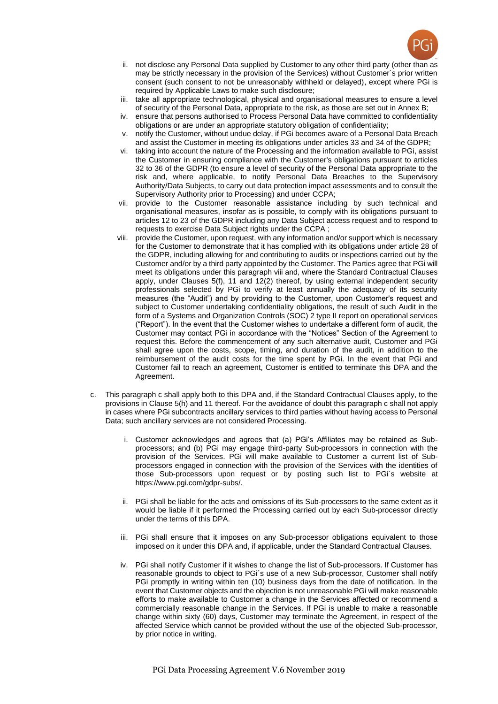

- ii. not disclose any Personal Data supplied by Customer to any other third party (other than as may be strictly necessary in the provision of the Services) without Customer´s prior written consent (such consent to not be unreasonably withheld or delayed), except where PGi is required by Applicable Laws to make such disclosure;
- iii. take all appropriate technological, physical and organisational measures to ensure a level of security of the Personal Data, appropriate to the risk, as those are set out in Annex B;
- iv. ensure that persons authorised to Process Personal Data have committed to confidentiality obligations or are under an appropriate statutory obligation of confidentiality;
- v. notify the Customer, without undue delay, if PGi becomes aware of a Personal Data Breach and assist the Customer in meeting its obligations under articles 33 and 34 of the GDPR;
- vi. taking into account the nature of the Processing and the information available to PGi, assist the Customer in ensuring compliance with the Customer's obligations pursuant to articles 32 to 36 of the GDPR (to ensure a level of security of the Personal Data appropriate to the risk and, where applicable, to notify Personal Data Breaches to the Supervisory Authority/Data Subjects, to carry out data protection impact assessments and to consult the Supervisory Authority prior to Processing) and under CCPA;
- vii. provide to the Customer reasonable assistance including by such technical and organisational measures, insofar as is possible, to comply with its obligations pursuant to articles 12 to 23 of the GDPR including any Data Subject access request and to respond to requests to exercise Data Subject rights under the CCPA ;
- viii. provide the Customer, upon request, with any information and/or support which is necessary for the Customer to demonstrate that it has complied with its obligations under article 28 of the GDPR, including allowing for and contributing to audits or inspections carried out by the Customer and/or by a third party appointed by the Customer. The Parties agree that PGi will meet its obligations under this paragraph viii and, where the Standard Contractual Clauses apply, under Clauses 5(f), 11 and 12(2) thereof, by using external independent security professionals selected by PGi to verify at least annually the adequacy of its security measures (the "Audit") and by providing to the Customer, upon Customer's request and subject to Customer undertaking confidentiality obligations, the result of such Audit in the form of a Systems and Organization Controls (SOC) 2 type II report on operational services ("Report"). In the event that the Customer wishes to undertake a different form of audit, the Customer may contact PGi in accordance with the "Notices" Section of the Agreement to request this. Before the commencement of any such alternative audit, Customer and PGi shall agree upon the costs, scope, timing, and duration of the audit, in addition to the reimbursement of the audit costs for the time spent by PGi. In the event that PGi and Customer fail to reach an agreement, Customer is entitled to terminate this DPA and the Agreement.
- c. This paragraph c shall apply both to this DPA and, if the Standard Contractual Clauses apply, to the provisions in Clause 5(h) and 11 thereof. For the avoidance of doubt this paragraph c shall not apply in cases where PGi subcontracts ancillary services to third parties without having access to Personal Data; such ancillary services are not considered Processing.
	- i. Customer acknowledges and agrees that (a) PGi's Affiliates may be retained as Subprocessors; and (b) PGi may engage third-party Sub-processors in connection with the provision of the Services. PGi will make available to Customer a current list of Subprocessors engaged in connection with the provision of the Services with the identities of those Sub-processors upon request or by posting such list to PGi´s website at https://www.pgi.com/gdpr-subs/.
	- ii. PGi shall be liable for the acts and omissions of its Sub-processors to the same extent as it would be liable if it performed the Processing carried out by each Sub-processor directly under the terms of this DPA.
	- iii. PGi shall ensure that it imposes on any Sub-processor obligations equivalent to those imposed on it under this DPA and, if applicable, under the Standard Contractual Clauses.
	- iv. PGi shall notify Customer if it wishes to change the list of Sub-processors. If Customer has reasonable grounds to object to PGi´s use of a new Sub-processor, Customer shall notify PGi promptly in writing within ten (10) business days from the date of notification. In the event that Customer objects and the objection is not unreasonable PGi will make reasonable efforts to make available to Customer a change in the Services affected or recommend a commercially reasonable change in the Services. If PGi is unable to make a reasonable change within sixty (60) days, Customer may terminate the Agreement, in respect of the affected Service which cannot be provided without the use of the objected Sub-processor, by prior notice in writing.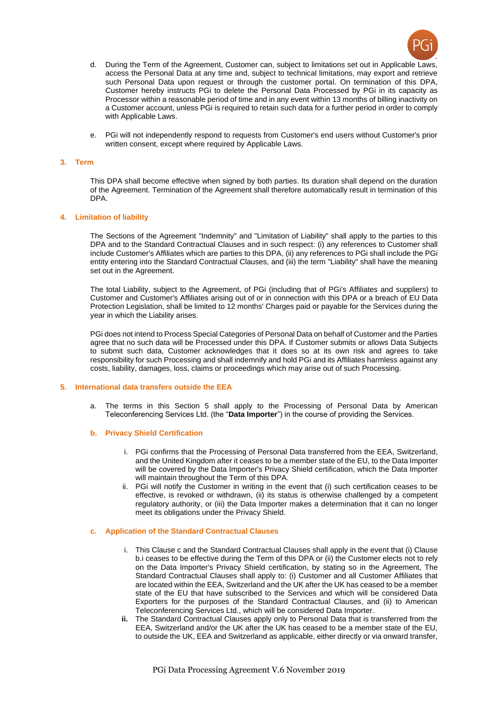

- d. During the Term of the Agreement, Customer can, subject to limitations set out in Applicable Laws, access the Personal Data at any time and, subject to technical limitations, may export and retrieve such Personal Data upon request or through the customer portal. On termination of this DPA, Customer hereby instructs PGi to delete the Personal Data Processed by PGi in its capacity as Processor within a reasonable period of time and in any event within 13 months of billing inactivity on a Customer account, unless PGi is required to retain such data for a further period in order to comply with Applicable Laws.
- e. PGi will not independently respond to requests from Customer's end users without Customer's prior written consent, except where required by Applicable Laws.

#### **3. Term**

This DPA shall become effective when signed by both parties. Its duration shall depend on the duration of the Agreement. Termination of the Agreement shall therefore automatically result in termination of this DPA.

#### **4. Limitation of liability**

The Sections of the Agreement "Indemnity" and "Limitation of Liability" shall apply to the parties to this DPA and to the Standard Contractual Clauses and in such respect: (i) any references to Customer shall include Customer's Affiliates which are parties to this DPA, (ii) any references to PGi shall include the PGi entity entering into the Standard Contractual Clauses, and (iii) the term "Liability" shall have the meaning set out in the Agreement.

The total Liability, subject to the Agreement, of PGi (including that of PGi's Affiliates and suppliers) to Customer and Customer's Affiliates arising out of or in connection with this DPA or a breach of EU Data Protection Legislation, shall be limited to 12 months' Charges paid or payable for the Services during the year in which the Liability arises.

PGi does not intend to Process Special Categories of Personal Data on behalf of Customer and the Parties agree that no such data will be Processed under this DPA. If Customer submits or allows Data Subjects to submit such data, Customer acknowledges that it does so at its own risk and agrees to take responsibility for such Processing and shall indemnify and hold PGi and its Affiliates harmless against any costs, liability, damages, loss, claims or proceedings which may arise out of such Processing.

#### **5. International data transfers outside the EEA**

a. The terms in this Section 5 shall apply to the Processing of Personal Data by American Teleconferencing Services Ltd. (the "**Data Importer**") in the course of providing the Services.

#### **b. Privacy Shield Certification**

- i. PGi confirms that the Processing of Personal Data transferred from the EEA, Switzerland, and the United Kingdom after it ceases to be a member state of the EU, to the Data Importer will be covered by the Data Importer's Privacy Shield certification, which the Data Importer will maintain throughout the Term of this DPA.
- ii. PGi will notify the Customer in writing in the event that (i) such certification ceases to be effective, is revoked or withdrawn, (ii) its status is otherwise challenged by a competent regulatory authority, or (iii) the Data Importer makes a determination that it can no longer meet its obligations under the Privacy Shield.

#### **c. Application of the Standard Contractual Clauses**

- i. This Clause c and the Standard Contractual Clauses shall apply in the event that (i) Clause b.i ceases to be effective during the Term of this DPA or (ii) the Customer elects not to rely on the Data Importer's Privacy Shield certification, by stating so in the Agreement, The Standard Contractual Clauses shall apply to: (i) Customer and all Customer Affiliates that are located within the EEA, Switzerland and the UK after the UK has ceased to be a member state of the EU that have subscribed to the Services and which will be considered Data Exporters for the purposes of the Standard Contractual Clauses, and (ii) to American Teleconferencing Services Ltd., which will be considered Data Importer.
- **ii.** The Standard Contractual Clauses apply only to Personal Data that is transferred from the EEA, Switzerland and/or the UK after the UK has ceased to be a member state of the EU, to outside the UK, EEA and Switzerland as applicable, either directly or via onward transfer,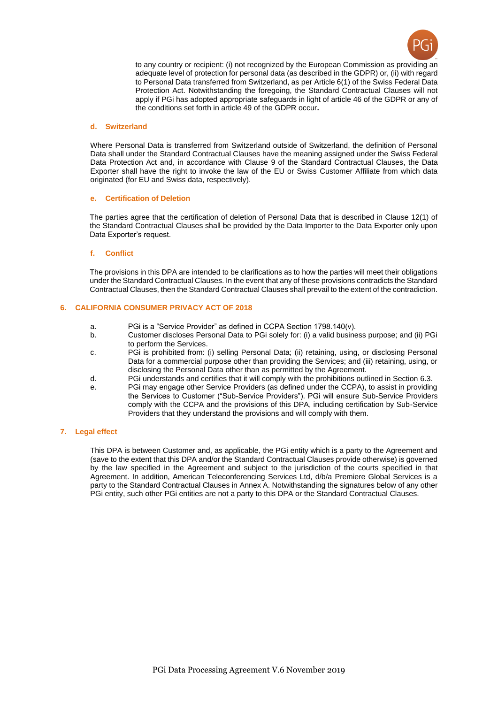

to any country or recipient: (i) not recognized by the European Commission as providing an adequate level of protection for personal data (as described in the GDPR) or, (ii) with regard to Personal Data transferred from Switzerland, as per Article 6(1) of the Swiss Federal Data Protection Act. Notwithstanding the foregoing, the Standard Contractual Clauses will not apply if PGi has adopted appropriate safeguards in light of article 46 of the GDPR or any of the conditions set forth in article 49 of the GDPR occur**.** 

#### **d. Switzerland**

Where Personal Data is transferred from Switzerland outside of Switzerland, the definition of Personal Data shall under the Standard Contractual Clauses have the meaning assigned under the Swiss Federal Data Protection Act and, in accordance with Clause 9 of the Standard Contractual Clauses, the Data Exporter shall have the right to invoke the law of the EU or Swiss Customer Affiliate from which data originated (for EU and Swiss data, respectively).

## **e. Certification of Deletion**

The parties agree that the certification of deletion of Personal Data that is described in Clause 12(1) of the Standard Contractual Clauses shall be provided by the Data Importer to the Data Exporter only upon Data Exporter's request.

#### **f. Conflict**

The provisions in this DPA are intended to be clarifications as to how the parties will meet their obligations under the Standard Contractual Clauses. In the event that any of these provisions contradicts the Standard Contractual Clauses, then the Standard Contractual Clauses shall prevail to the extent of the contradiction.

## **6. CALIFORNIA CONSUMER PRIVACY ACT OF 2018**

- a. PGi is a "Service Provider" as defined in CCPA Section 1798.140(v).
- b. Customer discloses Personal Data to PGi solely for: (i) a valid business purpose; and (ii) PGi to perform the Services.
- c. PGi is prohibited from: (i) selling Personal Data; (ii) retaining, using, or disclosing Personal Data for a commercial purpose other than providing the Services; and (iii) retaining, using, or disclosing the Personal Data other than as permitted by the Agreement.
- d. PGi understands and certifies that it will comply with the prohibitions outlined in Section 6.3.
- e. PGi may engage other Service Providers (as defined under the CCPA), to assist in providing the Services to Customer ("Sub-Service Providers"). PGi will ensure Sub-Service Providers comply with the CCPA and the provisions of this DPA, including certification by Sub-Service Providers that they understand the provisions and will comply with them.

## **7. Legal effect**

This DPA is between Customer and, as applicable, the PGi entity which is a party to the Agreement and (save to the extent that this DPA and/or the Standard Contractual Clauses provide otherwise) is governed by the law specified in the Agreement and subject to the jurisdiction of the courts specified in that Agreement. In addition, American Teleconferencing Services Ltd, d/b/a Premiere Global Services is a party to the Standard Contractual Clauses in Annex A. Notwithstanding the signatures below of any other PGi entity, such other PGi entities are not a party to this DPA or the Standard Contractual Clauses.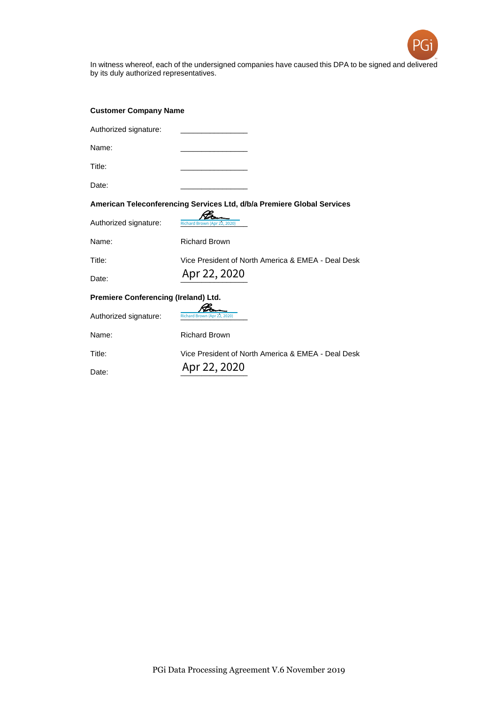

In witness whereof, each of the undersigned companies have caused this DPA to be signed and delivered by its duly authorized representatives.

| <b>Customer Company Name</b>                                           |                                                    |  |
|------------------------------------------------------------------------|----------------------------------------------------|--|
| Authorized signature:                                                  |                                                    |  |
| Name:                                                                  |                                                    |  |
| Title:                                                                 |                                                    |  |
| Date:                                                                  |                                                    |  |
| American Teleconferencing Services Ltd, d/b/a Premiere Global Services |                                                    |  |
| Authorized signature:                                                  | Richard Brown (Apr 22, 2020)                       |  |
| Name:                                                                  | <b>Richard Brown</b>                               |  |
| Title:                                                                 | Vice President of North America & EMEA - Deal Desk |  |
| Date:                                                                  | Apr 22, 2020                                       |  |
| Premiere Conferencing (Ireland) Ltd.                                   |                                                    |  |
| Authorized signature:                                                  | Richard Brown (Apr 22, 2020)                       |  |
| Name:                                                                  | <b>Richard Brown</b>                               |  |
| Title:                                                                 | Vice President of North America & EMEA - Deal Desk |  |
| Date:                                                                  | Apr 22, 2020                                       |  |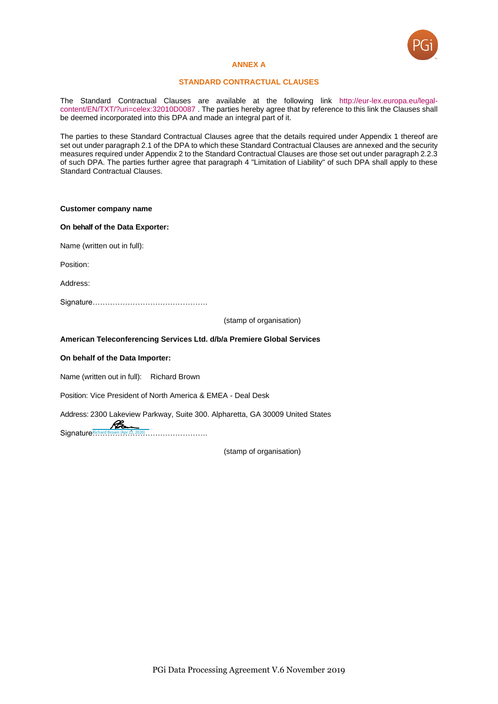

#### **ANNEX A**

#### **STANDARD CONTRACTUAL CLAUSES**

The Standard Contractual Clauses are available at the following link [http://eur-lex.europa.eu/legal](http://eur-lex.europa.eu/legal-content/EN/TXT/?uri=celex:32010D0087)[content/EN/TXT/?uri=celex:32010D0087](http://eur-lex.europa.eu/legal-content/EN/TXT/?uri=celex:32010D0087) . The parties hereby agree that by reference to this link the Clauses shall be deemed incorporated into this DPA and made an integral part of it.

The parties to these Standard Contractual Clauses agree that the details required under Appendix 1 thereof are set out under paragraph 2.1 of the DPA to which these Standard Contractual Clauses are annexed and the security measures required under Appendix 2 to the Standard Contractual Clauses are those set out under paragraph 2.2.3 of such DPA. The parties further agree that paragraph 4 "Limitation of Liability" of such DPA shall apply to these Standard Contractual Clauses.

#### **Customer company name**

#### **On behalf of the Data Exporter:**

Name (written out in full):

Position:

Address:

Signature……………………………………….

(stamp of organisation)

## **American Teleconferencing Services Ltd. d/b/a Premiere Global Services**

## **On behalf of the Data Importer:**

Name (written out in full): Richard Brown

Position: Vice President of North America & EMEA - Deal Desk

Address: 2300 Lakeview Parkway, Suite 300. Alpharetta, GA 30009 United States

Signature<sup>Richard Brown</sup> (Apr 22, 2020) ...........................

(stamp of organisation)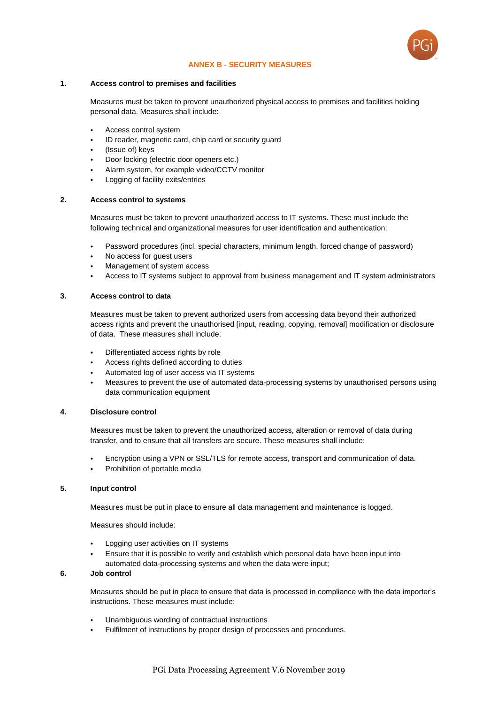

## **ANNEX B - SECURITY MEASURES**

## **1. Access control to premises and facilities**

Measures must be taken to prevent unauthorized physical access to premises and facilities holding personal data. Measures shall include:

- Access control system
- ID reader, magnetic card, chip card or security guard
- (Issue of) keys
- Door locking (electric door openers etc.)
- Alarm system, for example video/CCTV monitor
- Logging of facility exits/entries

# **2. Access control to systems**

Measures must be taken to prevent unauthorized access to IT systems. These must include the following technical and organizational measures for user identification and authentication:

- Password procedures (incl. special characters, minimum length, forced change of password)
- No access for guest users
- Management of system access
- Access to IT systems subject to approval from business management and IT system administrators

## **3. Access control to data**

Measures must be taken to prevent authorized users from accessing data beyond their authorized access rights and prevent the unauthorised [input, reading, copying, removal] modification or disclosure of data. These measures shall include:

- Differentiated access rights by role
- Access rights defined according to duties
- Automated log of user access via IT systems
- Measures to prevent the use of automated data-processing systems by unauthorised persons using data communication equipment

## **4. Disclosure control**

Measures must be taken to prevent the unauthorized access, alteration or removal of data during transfer, and to ensure that all transfers are secure. These measures shall include:

- Encryption using a VPN or SSL/TLS for remote access, transport and communication of data.
- Prohibition of portable media

# **5. Input control**

Measures must be put in place to ensure all data management and maintenance is logged.

Measures should include:

- Logging user activities on IT systems
- Ensure that it is possible to verify and establish which personal data have been input into automated data-processing systems and when the data were input;

## **6. Job control**

Measures should be put in place to ensure that data is processed in compliance with the data importer's instructions. These measures must include:

- Unambiguous wording of contractual instructions
- Fulfilment of instructions by proper design of processes and procedures.